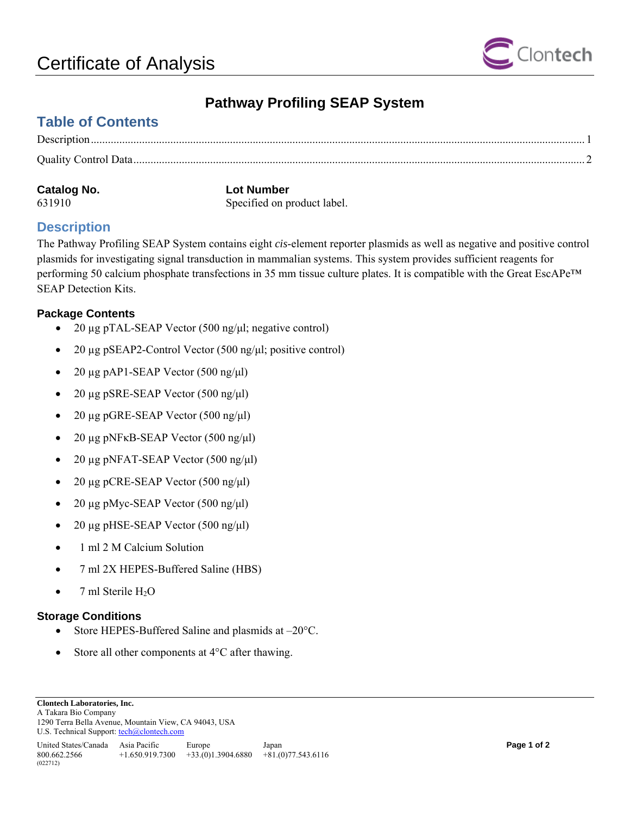

## **Pathway Profiling SEAP System**

## <span id="page-0-0"></span>**Table of Contents**

| Catalog No. | <b>Lot Number</b>           |
|-------------|-----------------------------|
| 631910      | Specified on product label. |

### **Description**

The Pathway Profiling SEAP System contains eight *cis*-element reporter plasmids as well as negative and positive control plasmids for investigating signal transduction in mammalian systems. This system provides sufficient reagents for performing 50 calcium phosphate transfections in 35 mm tissue culture plates. It is compatible with the Great EscAPe™ SEAP Detection Kits.

#### **Package Contents**

- 20 μg pTAL-SEAP Vector (500 ng/μl; negative control)
- 20  $\mu$ g pSEAP2-Control Vector (500 ng/ $\mu$ l; positive control)
- 20 μg pAP1-SEAP Vector  $(500 \text{ ng/µl})$
- 20 µg pSRE-SEAP Vector (500 ng/μl)
- 20 µg pGRE-SEAP Vector (500 ng/μl)
- 20 μg pNFκB-SEAP Vector  $(500 \text{ ng/µl})$
- 20 µg pNFAT-SEAP Vector (500 ng/μl)
- 20 μg pCRE-SEAP Vector  $(500 \text{ ng/µl})$
- 20 µg pMyc-SEAP Vector (500 ng/μl)
- 20 μg pHSE-SEAP Vector  $(500 \text{ ng/µl})$
- 1 ml 2 M Calcium Solution
- 7 ml 2X HEPES-Buffered Saline (HBS)
- 7 ml Sterile  $H_2O$

#### **Storage Conditions**

- Store HEPES-Buffered Saline and plasmids at  $-20^{\circ}$ C.
- Store all other components at 4<sup>o</sup>C after thawing.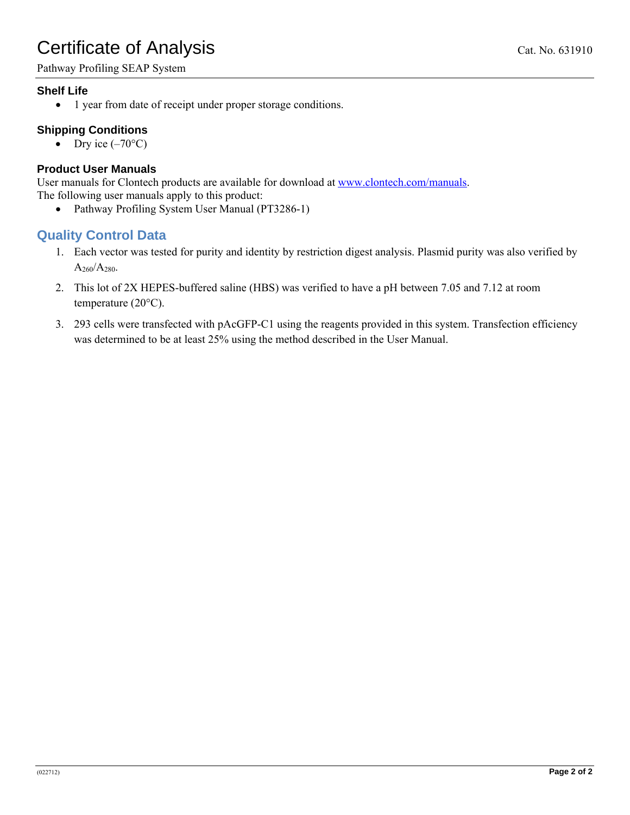# <span id="page-1-0"></span>Certificate of Analysis Cat. No. 631910

Pathway Profiling SEAP System

### **Shelf Life**

• 1 year from date of receipt under proper storage conditions.

### **Shipping Conditions**

• Dry ice  $(-70^{\circ}C)$ 

#### **Product User Manuals**

User manuals for Clontech products are available for download at [www.clontech.com/manuals.](http://www.clontech.com/manuals) The following user manuals apply to this product:

• Pathway Profiling System User Manual (PT3286-1)

### **Quality Control Data**

- 1. Each vector was tested for purity and identity by restriction digest analysis. Plasmid purity was also verified by  $A_{260}/A_{280}$ .
- 2. This lot of 2X HEPES-buffered saline (HBS) was verified to have a pH between 7.05 and 7.12 at room temperature (20°C).
- 3. 293 cells were transfected with pAcGFP-C1 using the reagents provided in this system. Transfection efficiency was determined to be at least 25% using the method described in the User Manual.